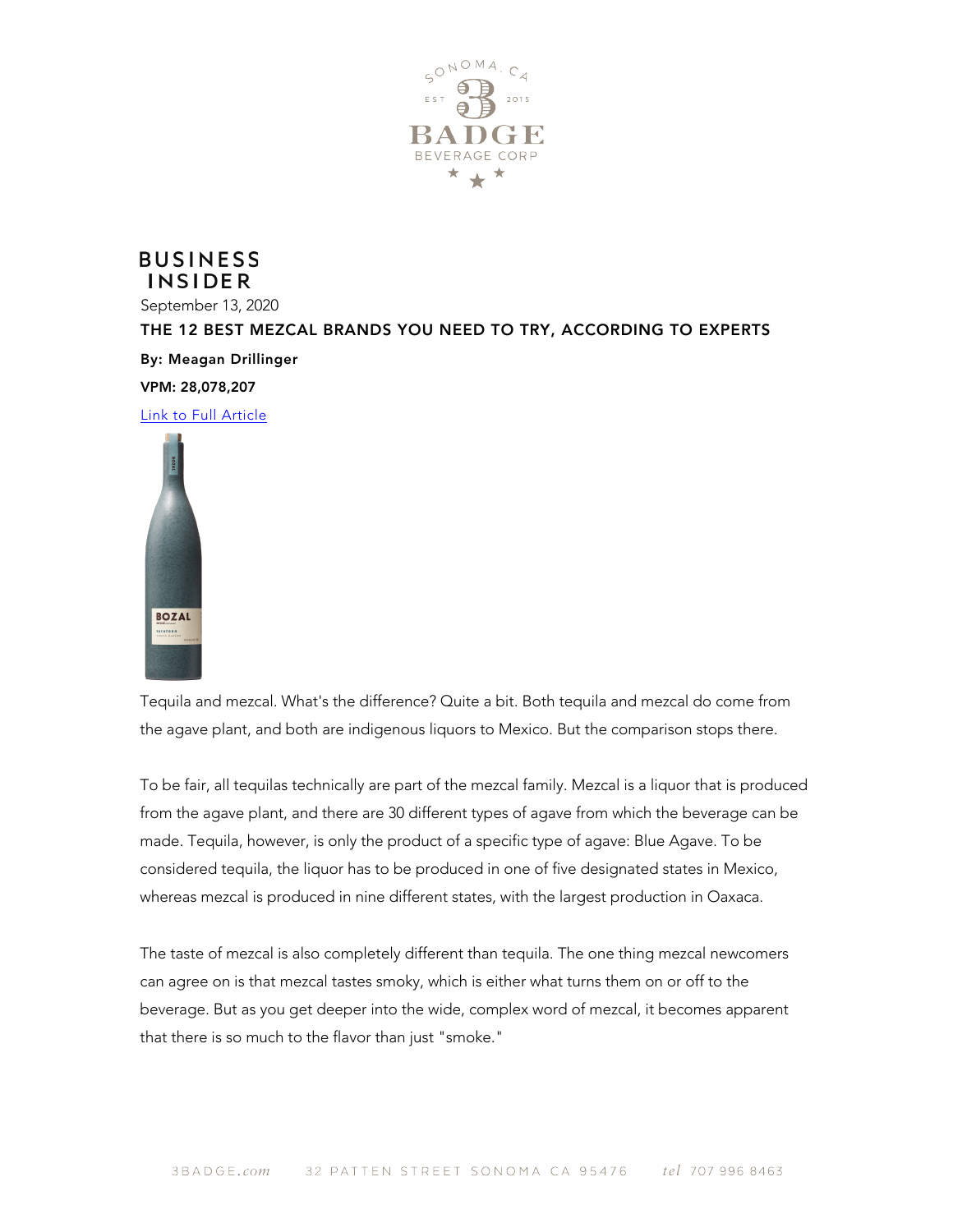

## **BUSINESS INSIDER**

September 13, 2020 THE 12 BEST MEZCAL BRANDS YOU NEED TO TRY, ACCORDING TO EXPERTS By: Meagan Drillinger VPM: 28,078,207 [Link to](https://www.businessinsider.com/best-mezcal-brands-to-try-according-to-experts-mexico-2020-5#9-bozal-saccotoro-11) Full Article



Tequila and mezcal. What's the difference? Quite a bit. Both tequila and mezcal do come from the agave plant, and both are indigenous liquors to Mexico. But the comparison stops there.

To be fair, all tequilas technically are part of the mezcal family. Mezcal is a liquor that is produced from the agave plant, and there are 30 different types of agave from which the beverage can be made. Tequila, however, is only the product of a specific type of agave: Blue Agave. To be considered tequila, the liquor has to be produced in one of five designated states in Mexico, whereas mezcal is produced in nine different states, with the largest production in Oaxaca.

The taste of mezcal is also completely different than tequila. The one thing mezcal newcomers can agree on is that mezcal tastes smoky, which is either what turns them on or off to the beverage. But as you get deeper into the wide, complex word of mezcal, it becomes apparent that there is so much to the flavor than just "smoke."